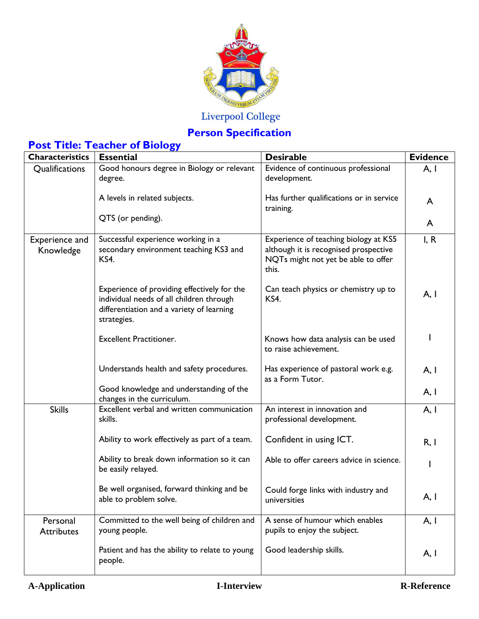

## Liverpool College

## **Person Specification**

| <b>Post Title: Teacher of Biology</b> |
|---------------------------------------|
|---------------------------------------|

| <b>Characteristics</b>        | <b>Essential</b>                                                                                                                                    | <b>Desirable</b>                                                                                                               | <b>Evidence</b> |
|-------------------------------|-----------------------------------------------------------------------------------------------------------------------------------------------------|--------------------------------------------------------------------------------------------------------------------------------|-----------------|
| Qualifications                | Good honours degree in Biology or relevant<br>degree.                                                                                               | Evidence of continuous professional<br>development.                                                                            | A, I            |
|                               | A levels in related subjects.                                                                                                                       | Has further qualifications or in service<br>training.                                                                          | A               |
|                               | QTS (or pending).                                                                                                                                   |                                                                                                                                | A               |
| Experience and<br>Knowledge   | Successful experience working in a<br>secondary environment teaching KS3 and<br>KS4.                                                                | Experience of teaching biology at KS5<br>although it is recognised prospective<br>NQTs might not yet be able to offer<br>this. | I, R            |
|                               | Experience of providing effectively for the<br>individual needs of all children through<br>differentiation and a variety of learning<br>strategies. | Can teach physics or chemistry up to<br>KS4.                                                                                   | A, I            |
|                               | <b>Excellent Practitioner.</b>                                                                                                                      | Knows how data analysis can be used<br>to raise achievement.                                                                   |                 |
|                               | Understands health and safety procedures.                                                                                                           | Has experience of pastoral work e.g.<br>as a Form Tutor.                                                                       | A, I            |
|                               | Good knowledge and understanding of the<br>changes in the curriculum.                                                                               |                                                                                                                                | A, I            |
| <b>Skills</b>                 | Excellent verbal and written communication<br>skills.                                                                                               | An interest in innovation and<br>professional development.                                                                     | A, I            |
|                               | Ability to work effectively as part of a team.                                                                                                      | Confident in using ICT.                                                                                                        | R, I            |
|                               | Ability to break down information so it can<br>be easily relayed.                                                                                   | Able to offer careers advice in science.                                                                                       |                 |
|                               | Be well organised, forward thinking and be<br>able to problem solve.                                                                                | Could forge links with industry and<br>universities                                                                            | A, I            |
| Personal<br><b>Attributes</b> | Committed to the well being of children and<br>young people.                                                                                        | A sense of humour which enables<br>pupils to enjoy the subject.                                                                | A, I            |
|                               | Patient and has the ability to relate to young<br>people.                                                                                           | Good leadership skills.                                                                                                        | A, I            |